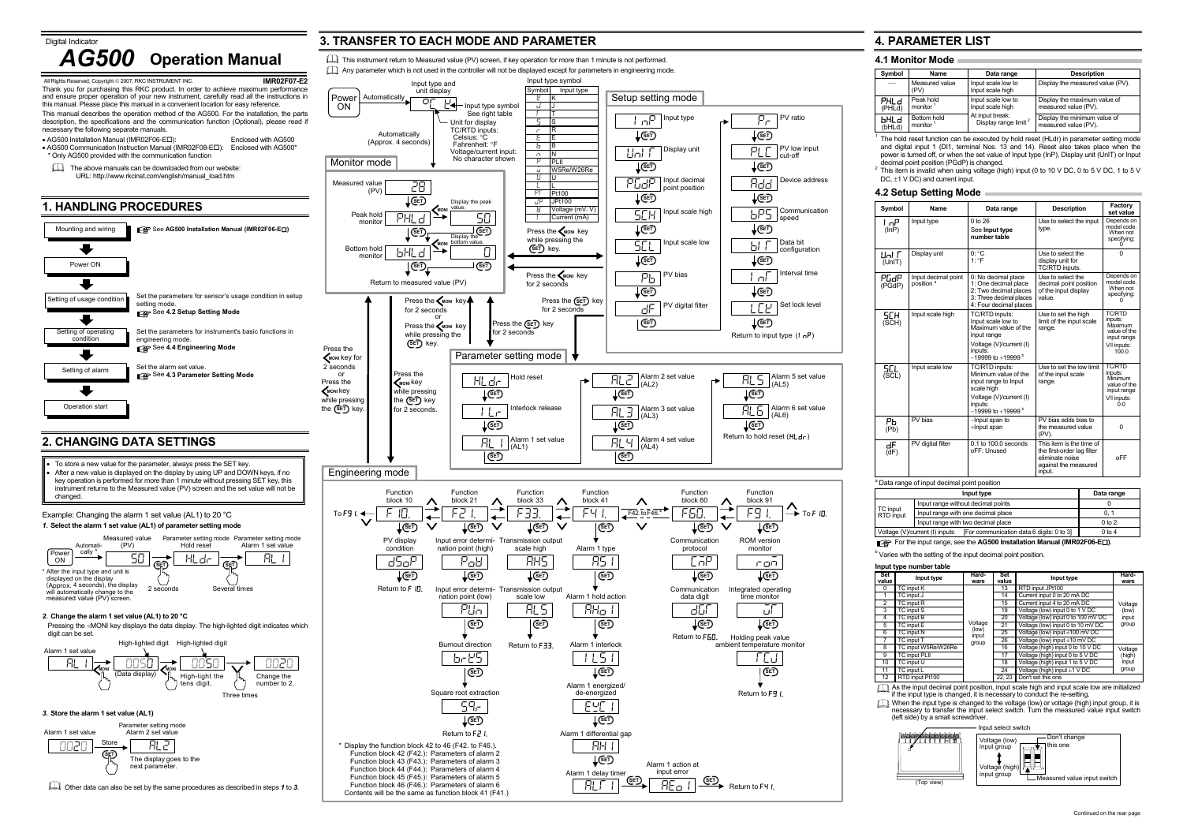Alarm 1 action atinput error <u>→ REole</u>  $\div$  To F In.

digit can be set.

Integrated operating time monitor ūГ







Data bit *i* configuration

L [ L' | <sup>Set lock level</sup>

Other data can also be set by the same procedures as described in steps *1* to *3*.

Function block 91

Return to hold reset (HI de)

Alarm 1 delay timer ALT1

ROM version monitor roM

Holding peak value

TCJ

Return to F41.



Function block 44 (F44.): Parameters of alarm 4 Function block 45 (F45.): Parameters of alarm 5 Function block 46 (F46.): Parameters of alarm 6 Contents will be the same as function block 41 (F41.)

PHL ...<br>(P⊢

 $^2$  This item is invalid when using voltage (high) input (0 to 10 V DC, 0 to 5 V DC, 1 to 5 V DC,  $\pm$ 1 V DC) and current input.

 $\overline{I}$ n

(Uni

 $\overline{P}$  $(d)$ 

Alarm 5 set value

AL5

PV ratio

Pr

PV low input

PLC

cut-off

Device address

Add

Communication

bIT

 $In<sup>T</sup>$ 

Interval time

When the input type is changed to the voltage (low) or voltage (high) input group, it is necessary to transfer the input select switch. Turn the measured value input switch (left side) by a small screwdriver.

**SET**

**SET**

**SET**

**SET**

**SET**

bPS Speed

**SET**

**SET**

**SET**

**SET**

Return to input type  $(I_n P)$ 

 $(A|5)$ 

 $\frac{\mathsf{FL}\left(\mathsf{L}\right)}{\mathsf{AL}\left(\mathsf{AL}\right)}$  (AL6)

**SET**

**SET**

**SET**

**SET**

**SET**

Return to **F**¶ **I.** 

# **4. PARAMETER LIST**

# **4.1 Monitor Mode**

| Symbol         | Name                                | Data range                                          | <b>Description</b>                                   |
|----------------|-------------------------------------|-----------------------------------------------------|------------------------------------------------------|
|                | Measured value<br>(PV)              | Input scale low to<br>Input scale high              | Display the measured value (PV).                     |
| PHLd<br>(PHLd) | Peak hold<br>monitor <sup>1</sup>   | Input scale low to<br>Input scale high              | Display the maximum value of<br>measured value (PV). |
| ЫHLd<br>(bHLd) | Bottom hold<br>monitor <sup>1</sup> | At input break:<br>Display range limit <sup>2</sup> | Display the minimum value of<br>measured value (PV). |

**4.2 Setup Setting Mode** 

 $\overline{L}$ 

 $(PC)$ 

 $\overline{\mathsf{S}\mathsf{C}}$ 

(InP)

 $\overline{P}$ Gc

 $1$  The hold reset function can be executed by hold reset (HLdr) in parameter setting mode and digital input 1 (DI1, terminal Nos. 13 and 14). Reset also takes place when the power is turned off, or when the set value of Input type (InP), Display unit (UnIT) or Input decimal point position (PGdP) is changed.

| Symbol         | Name                                         | Data range                                                                                                                                             | <b>Description</b>                                                                                          | Factory<br>set value                                                                       |
|----------------|----------------------------------------------|--------------------------------------------------------------------------------------------------------------------------------------------------------|-------------------------------------------------------------------------------------------------------------|--------------------------------------------------------------------------------------------|
| l nP<br>(lnP)  | Input type                                   | $0$ to $26$<br>See Input type<br>number table                                                                                                          | Use to select the input<br>type.                                                                            | Depends on<br>model code.<br>When not<br>specifying:                                       |
| ⊔ы г<br>(UnIT) | Display unit                                 | $0: {}^{\circ}C$<br>1.9F                                                                                                                               | Use to select the<br>display unit for<br>TC/RTD inputs.                                                     | $\Omega$                                                                                   |
| РСАР<br>(PGdP) | Input decimal point<br>position <sup>a</sup> | 0: No decimal place<br>1: One decimal place<br>2: Two decimal places<br>3: Three decimal places<br>4: Four decimal places                              | Use to select the<br>decimal point position<br>of the input display<br>value.                               | Depends on<br>model code.<br>When not<br>specifying:                                       |
| SCH<br>(SCH)   | Input scale high                             | TC/RTD inputs:<br>Input scale low to<br>Maximum value of the<br>input range<br>Voltage (V)/current (I)<br>inputs:<br>$-19999$ to $+19999$ <sup>b</sup> | Use to set the high<br>limit of the input scale<br>range.                                                   | <b>TC/RTD</b><br>inputs:<br>Maximum<br>value of the<br>input range<br>V/I inputs:<br>100.0 |
| SCL<br>(SCL)   | Input scale low                              | TC/RTD inputs:<br>Minimum value of the<br>input range to Input<br>scale high<br>Voltage (V)/current (I)<br>inputs:<br>$-19999$ to +19999 $b$           | Use to set the low limit<br>of the input scale<br>range.                                                    | <b>TC/RTD</b><br>inputs:<br>Minimum<br>value of the<br>input range<br>V/I inputs:<br>0.0   |
| Ρь<br>(Pb)     | PV bias                                      | -Input span to<br>+Input span                                                                                                                          | PV bias adds bias to<br>the measured value<br>(PV).                                                         | 0                                                                                          |
| dF<br>(dF)     | PV digital filter                            | $0.1$ to $100.0$ seconds<br>oFF: Unused                                                                                                                | This item is the time of<br>the first-order lag filter<br>eliminate noise<br>against the measured<br>input. | <b>OFF</b>                                                                                 |

# <sup>a</sup> Data range of input decimal point position

|                       | Data range                                                                  |            |
|-----------------------|-----------------------------------------------------------------------------|------------|
|                       | Input range without decimal points                                          |            |
| TC input<br>RTD input | Input range with one decimal place                                          | 0.1        |
|                       | Input range with two decimal place                                          | $0$ to $2$ |
|                       | [For communication data 6 digits: 0 to 3]<br>Voltage (V)/current (I) inputs | $0$ to 4   |
|                       |                                                                             |            |

For the input range, see the **AG500 Installation Manual (IMR02F06-E )**.

**b** Varies with the setting of the input decimal point position.

# **Input type number table**

**Set** 

 $bH$  $\overline{b}$ HI

| Set<br>value   | Input type           | Hard-<br>ware  | Set<br>value | Input type                                      | Hard-<br>ware |
|----------------|----------------------|----------------|--------------|-------------------------------------------------|---------------|
| $\Omega$       | TC input K           |                | 13           | RTD input JPt100                                |               |
|                | TC input J           |                | 14           | Current input 0 to 20 mA DC                     |               |
| $\overline{2}$ | TC input R           |                | 15           | Current input 4 to 20 mA DC                     | Voltage       |
| 3              | TC input S           |                | 19           | Voltage (low) input 0 to $\overline{1 \vee DC}$ | (low)         |
| 4              | TC input B           |                | 20           | Voltage (low) input 0 to 100 mV DC              | input         |
| 5              | TC input E           | Voltage        | 21           | Voltage (low) input 0 to 10 mV DC               | group         |
| 6              | TC input N           | (low)<br>input | 25           | Voltage (low) input $\pm 100$ mV DC             |               |
|                | TC input T           | group          | 26           | Voltage (low) input $\pm 10$ mV DC              |               |
| 8              | TC input W5Re/W26Re  |                | 16           | Voltage (high) input 0 to 10 V DC               | Voltage       |
| 9              | <b>TC input PLII</b> |                | 17           | Voltage (high) input 0 to 5 V DC                | (high)        |
| 10             | TC input U           |                | 18           | Voltage (high) input 1 to 5 V DC                | input         |
| 11             | TC input L           |                | 24           | Voltage (high) input $\pm 1$ V DC               | group         |
| 12             | RTD input Pt100      |                | 22.23        | Don't set this one                              |               |

As the input decimal point position, input scale high and input scale low are initialized if the input type is changed, it is necessary to conduct the re-setting.



Input select switch